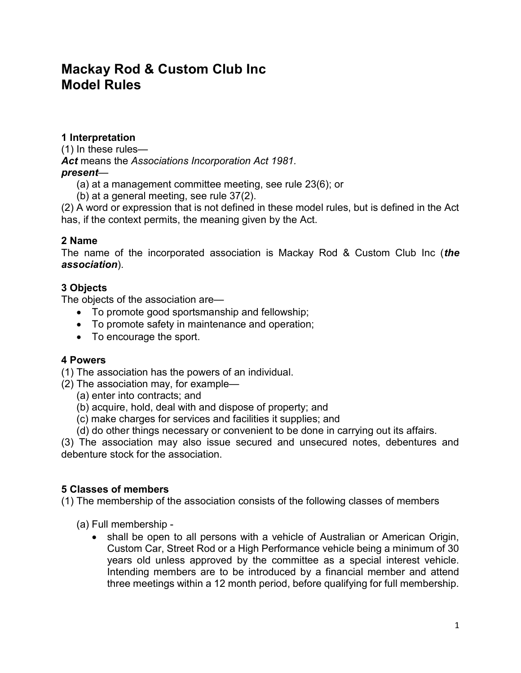# Mackay Rod & Custom Club Inc Model Rules

# 1 Interpretation

(1) In these rules— Act means the Associations Incorporation Act 1981. present—

- (a) at a management committee meeting, see rule 23(6); or
- (b) at a general meeting, see rule 37(2).

(2) A word or expression that is not defined in these model rules, but is defined in the Act has, if the context permits, the meaning given by the Act.

### 2 Name

The name of the incorporated association is Mackay Rod & Custom Club Inc (the association).

### 3 Objects

The objects of the association are—

- To promote good sportsmanship and fellowship;
- To promote safety in maintenance and operation;
- To encourage the sport.

#### 4 Powers

(1) The association has the powers of an individual.

(2) The association may, for example—

- (a) enter into contracts; and
- (b) acquire, hold, deal with and dispose of property; and
- (c) make charges for services and facilities it supplies; and
- (d) do other things necessary or convenient to be done in carrying out its affairs.

(3) The association may also issue secured and unsecured notes, debentures and debenture stock for the association.

# 5 Classes of members

(1) The membership of the association consists of the following classes of members

- (a) Full membership
	- shall be open to all persons with a vehicle of Australian or American Origin, Custom Car, Street Rod or a High Performance vehicle being a minimum of 30 years old unless approved by the committee as a special interest vehicle. Intending members are to be introduced by a financial member and attend three meetings within a 12 month period, before qualifying for full membership.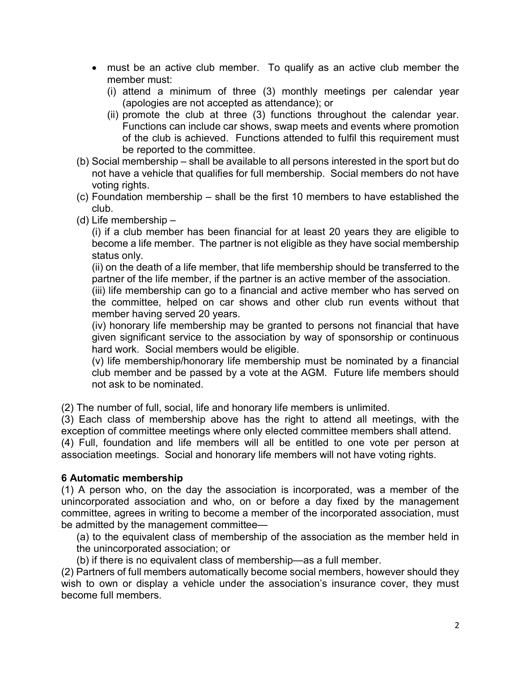- must be an active club member. To qualify as an active club member the member must:
	- (i) attend a minimum of three (3) monthly meetings per calendar year (apologies are not accepted as attendance); or
	- (ii) promote the club at three (3) functions throughout the calendar year. Functions can include car shows, swap meets and events where promotion of the club is achieved. Functions attended to fulfil this requirement must be reported to the committee.
- (b) Social membership shall be available to all persons interested in the sport but do not have a vehicle that qualifies for full membership. Social members do not have voting rights.
- (c) Foundation membership shall be the first 10 members to have established the club.
- (d) Life membership –

(i) if a club member has been financial for at least 20 years they are eligible to become a life member. The partner is not eligible as they have social membership status only.

(ii) on the death of a life member, that life membership should be transferred to the partner of the life member, if the partner is an active member of the association.

(iii) life membership can go to a financial and active member who has served on the committee, helped on car shows and other club run events without that member having served 20 years.

(iv) honorary life membership may be granted to persons not financial that have given significant service to the association by way of sponsorship or continuous hard work. Social members would be eligible.

(v) life membership/honorary life membership must be nominated by a financial club member and be passed by a vote at the AGM. Future life members should not ask to be nominated.

(2) The number of full, social, life and honorary life members is unlimited.

(3) Each class of membership above has the right to attend all meetings, with the exception of committee meetings where only elected committee members shall attend.

(4) Full, foundation and life members will all be entitled to one vote per person at association meetings. Social and honorary life members will not have voting rights.

# 6 Automatic membership

(1) A person who, on the day the association is incorporated, was a member of the unincorporated association and who, on or before a day fixed by the management committee, agrees in writing to become a member of the incorporated association, must be admitted by the management committee—

(a) to the equivalent class of membership of the association as the member held in the unincorporated association; or

(b) if there is no equivalent class of membership—as a full member.

(2) Partners of full members automatically become social members, however should they wish to own or display a vehicle under the association's insurance cover, they must become full members.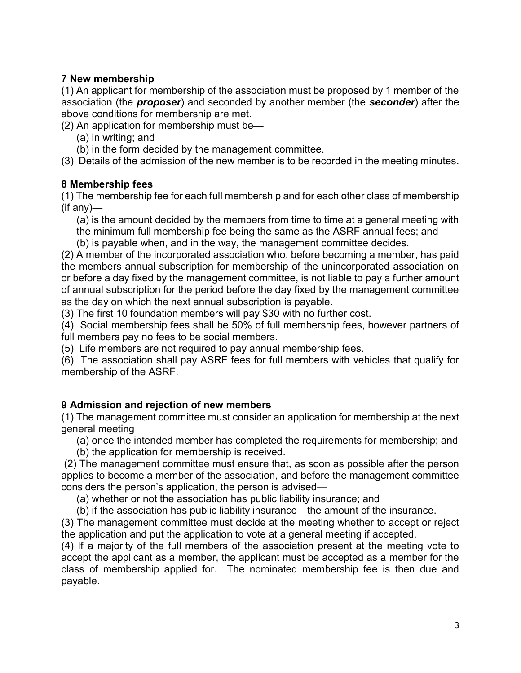# 7 New membership

(1) An applicant for membership of the association must be proposed by 1 member of the association (the **proposer**) and seconded by another member (the **seconder**) after the above conditions for membership are met.

(2) An application for membership must be—

- (a) in writing; and
- (b) in the form decided by the management committee.
- (3) Details of the admission of the new member is to be recorded in the meeting minutes.

# 8 Membership fees

(1) The membership fee for each full membership and for each other class of membership (if any)—

(a) is the amount decided by the members from time to time at a general meeting with the minimum full membership fee being the same as the ASRF annual fees; and

(b) is payable when, and in the way, the management committee decides.

(2) A member of the incorporated association who, before becoming a member, has paid the members annual subscription for membership of the unincorporated association on or before a day fixed by the management committee, is not liable to pay a further amount of annual subscription for the period before the day fixed by the management committee as the day on which the next annual subscription is payable.

(3) The first 10 foundation members will pay \$30 with no further cost.

(4) Social membership fees shall be 50% of full membership fees, however partners of full members pay no fees to be social members.

(5) Life members are not required to pay annual membership fees.

(6) The association shall pay ASRF fees for full members with vehicles that qualify for membership of the ASRF.

# 9 Admission and rejection of new members

(1) The management committee must consider an application for membership at the next general meeting

(a) once the intended member has completed the requirements for membership; and

(b) the application for membership is received.

 (2) The management committee must ensure that, as soon as possible after the person applies to become a member of the association, and before the management committee considers the person's application, the person is advised—

(a) whether or not the association has public liability insurance; and

(b) if the association has public liability insurance—the amount of the insurance.

(3) The management committee must decide at the meeting whether to accept or reject the application and put the application to vote at a general meeting if accepted.

(4) If a majority of the full members of the association present at the meeting vote to accept the applicant as a member, the applicant must be accepted as a member for the class of membership applied for. The nominated membership fee is then due and payable.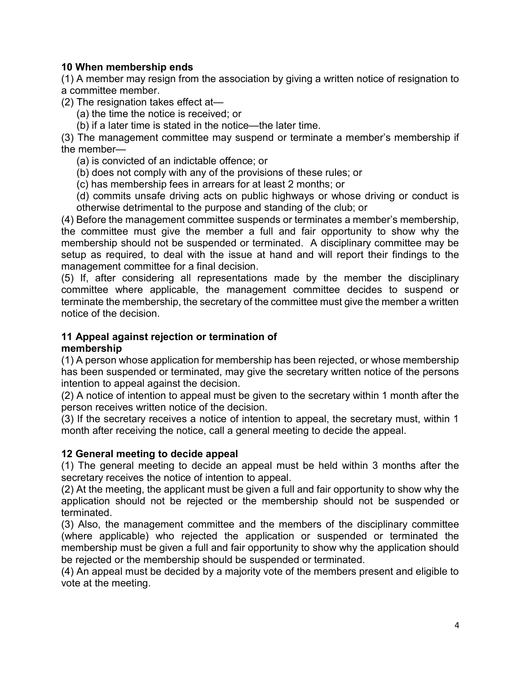### 10 When membership ends

(1) A member may resign from the association by giving a written notice of resignation to a committee member.

(2) The resignation takes effect at—

(a) the time the notice is received; or

(b) if a later time is stated in the notice—the later time.

(3) The management committee may suspend or terminate a member's membership if the member—

(a) is convicted of an indictable offence; or

(b) does not comply with any of the provisions of these rules; or

(c) has membership fees in arrears for at least 2 months; or

(d) commits unsafe driving acts on public highways or whose driving or conduct is otherwise detrimental to the purpose and standing of the club; or

(4) Before the management committee suspends or terminates a member's membership, the committee must give the member a full and fair opportunity to show why the membership should not be suspended or terminated. A disciplinary committee may be setup as required, to deal with the issue at hand and will report their findings to the management committee for a final decision.

(5) If, after considering all representations made by the member the disciplinary committee where applicable, the management committee decides to suspend or terminate the membership, the secretary of the committee must give the member a written notice of the decision.

# 11 Appeal against rejection or termination of

#### membership

(1) A person whose application for membership has been rejected, or whose membership has been suspended or terminated, may give the secretary written notice of the persons intention to appeal against the decision.

(2) A notice of intention to appeal must be given to the secretary within 1 month after the person receives written notice of the decision.

(3) If the secretary receives a notice of intention to appeal, the secretary must, within 1 month after receiving the notice, call a general meeting to decide the appeal.

#### 12 General meeting to decide appeal

(1) The general meeting to decide an appeal must be held within 3 months after the secretary receives the notice of intention to appeal.

(2) At the meeting, the applicant must be given a full and fair opportunity to show why the application should not be rejected or the membership should not be suspended or terminated.

(3) Also, the management committee and the members of the disciplinary committee (where applicable) who rejected the application or suspended or terminated the membership must be given a full and fair opportunity to show why the application should be rejected or the membership should be suspended or terminated.

(4) An appeal must be decided by a majority vote of the members present and eligible to vote at the meeting.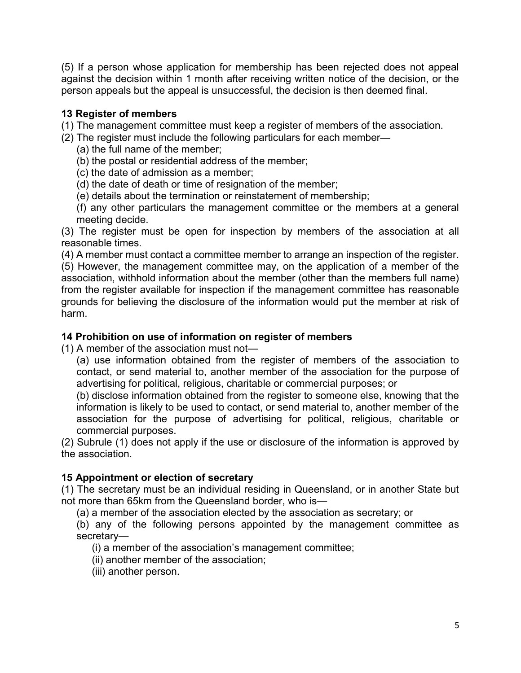(5) If a person whose application for membership has been rejected does not appeal against the decision within 1 month after receiving written notice of the decision, or the person appeals but the appeal is unsuccessful, the decision is then deemed final.

### 13 Register of members

(1) The management committee must keep a register of members of the association.

- (2) The register must include the following particulars for each member—
	- (a) the full name of the member;
	- (b) the postal or residential address of the member;
	- (c) the date of admission as a member;
	- (d) the date of death or time of resignation of the member;
	- (e) details about the termination or reinstatement of membership;
	- (f) any other particulars the management committee or the members at a general meeting decide.

(3) The register must be open for inspection by members of the association at all reasonable times.

(4) A member must contact a committee member to arrange an inspection of the register. (5) However, the management committee may, on the application of a member of the association, withhold information about the member (other than the members full name) from the register available for inspection if the management committee has reasonable grounds for believing the disclosure of the information would put the member at risk of harm.

### 14 Prohibition on use of information on register of members

(1) A member of the association must not—

(a) use information obtained from the register of members of the association to contact, or send material to, another member of the association for the purpose of advertising for political, religious, charitable or commercial purposes; or

(b) disclose information obtained from the register to someone else, knowing that the information is likely to be used to contact, or send material to, another member of the association for the purpose of advertising for political, religious, charitable or commercial purposes.

(2) Subrule (1) does not apply if the use or disclosure of the information is approved by the association.

# 15 Appointment or election of secretary

(1) The secretary must be an individual residing in Queensland, or in another State but not more than 65km from the Queensland border, who is—

(a) a member of the association elected by the association as secretary; or

(b) any of the following persons appointed by the management committee as secretary—

(i) a member of the association's management committee;

- (ii) another member of the association;
- (iii) another person.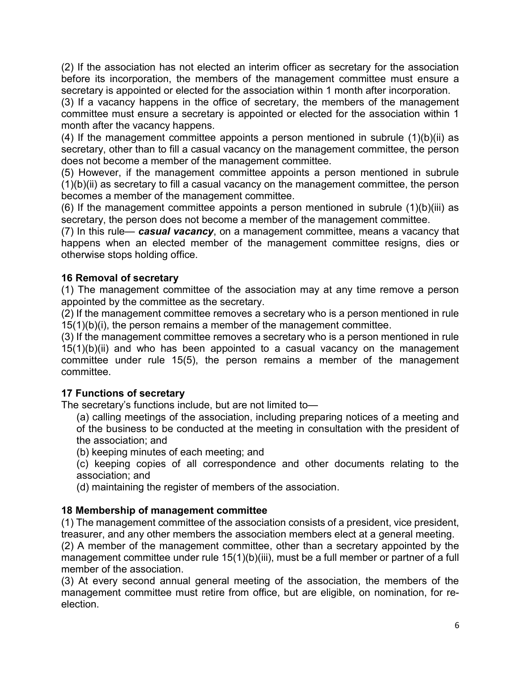(2) If the association has not elected an interim officer as secretary for the association before its incorporation, the members of the management committee must ensure a secretary is appointed or elected for the association within 1 month after incorporation.

(3) If a vacancy happens in the office of secretary, the members of the management committee must ensure a secretary is appointed or elected for the association within 1 month after the vacancy happens.

(4) If the management committee appoints a person mentioned in subrule (1)(b)(ii) as secretary, other than to fill a casual vacancy on the management committee, the person does not become a member of the management committee.

(5) However, if the management committee appoints a person mentioned in subrule  $(1)(b)(ii)$  as secretary to fill a casual vacancy on the management committee, the person becomes a member of the management committee.

(6) If the management committee appoints a person mentioned in subrule  $(1)(b)(iii)$  as secretary, the person does not become a member of the management committee.

(7) In this rule— casual vacancy, on a management committee, means a vacancy that happens when an elected member of the management committee resigns, dies or otherwise stops holding office.

# 16 Removal of secretary

(1) The management committee of the association may at any time remove a person appointed by the committee as the secretary.

(2) If the management committee removes a secretary who is a person mentioned in rule 15(1)(b)(i), the person remains a member of the management committee.

(3) If the management committee removes a secretary who is a person mentioned in rule  $15(1)(b)(ii)$  and who has been appointed to a casual vacancy on the management committee under rule 15(5), the person remains a member of the management committee.

#### 17 Functions of secretary

The secretary's functions include, but are not limited to—

(a) calling meetings of the association, including preparing notices of a meeting and of the business to be conducted at the meeting in consultation with the president of the association; and

(b) keeping minutes of each meeting; and

(c) keeping copies of all correspondence and other documents relating to the association; and

(d) maintaining the register of members of the association.

# 18 Membership of management committee

(1) The management committee of the association consists of a president, vice president, treasurer, and any other members the association members elect at a general meeting.

(2) A member of the management committee, other than a secretary appointed by the management committee under rule 15(1)(b)(iii), must be a full member or partner of a full member of the association.

(3) At every second annual general meeting of the association, the members of the management committee must retire from office, but are eligible, on nomination, for reelection.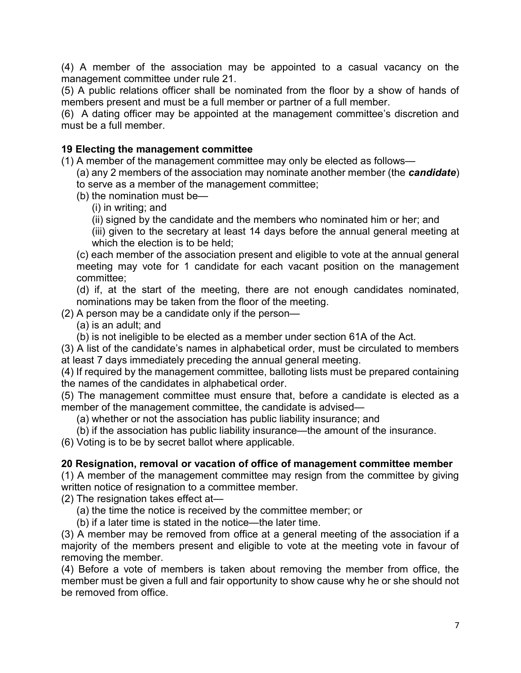(4) A member of the association may be appointed to a casual vacancy on the management committee under rule 21.

(5) A public relations officer shall be nominated from the floor by a show of hands of members present and must be a full member or partner of a full member.

(6) A dating officer may be appointed at the management committee's discretion and must be a full member.

### 19 Electing the management committee

(1) A member of the management committee may only be elected as follows—

(a) any 2 members of the association may nominate another member (the **candidate**) to serve as a member of the management committee;

(b) the nomination must be—

(i) in writing; and

(ii) signed by the candidate and the members who nominated him or her; and

(iii) given to the secretary at least 14 days before the annual general meeting at which the election is to be held;

(c) each member of the association present and eligible to vote at the annual general meeting may vote for 1 candidate for each vacant position on the management committee;

(d) if, at the start of the meeting, there are not enough candidates nominated, nominations may be taken from the floor of the meeting.

(2) A person may be a candidate only if the person—

(a) is an adult; and

(b) is not ineligible to be elected as a member under section 61A of the Act.

(3) A list of the candidate's names in alphabetical order, must be circulated to members at least 7 days immediately preceding the annual general meeting.

(4) If required by the management committee, balloting lists must be prepared containing the names of the candidates in alphabetical order.

(5) The management committee must ensure that, before a candidate is elected as a member of the management committee, the candidate is advised—

(a) whether or not the association has public liability insurance; and

(b) if the association has public liability insurance—the amount of the insurance.

(6) Voting is to be by secret ballot where applicable.

#### 20 Resignation, removal or vacation of office of management committee member

(1) A member of the management committee may resign from the committee by giving written notice of resignation to a committee member.

(2) The resignation takes effect at—

(a) the time the notice is received by the committee member; or

(b) if a later time is stated in the notice—the later time.

(3) A member may be removed from office at a general meeting of the association if a majority of the members present and eligible to vote at the meeting vote in favour of removing the member.

(4) Before a vote of members is taken about removing the member from office, the member must be given a full and fair opportunity to show cause why he or she should not be removed from office.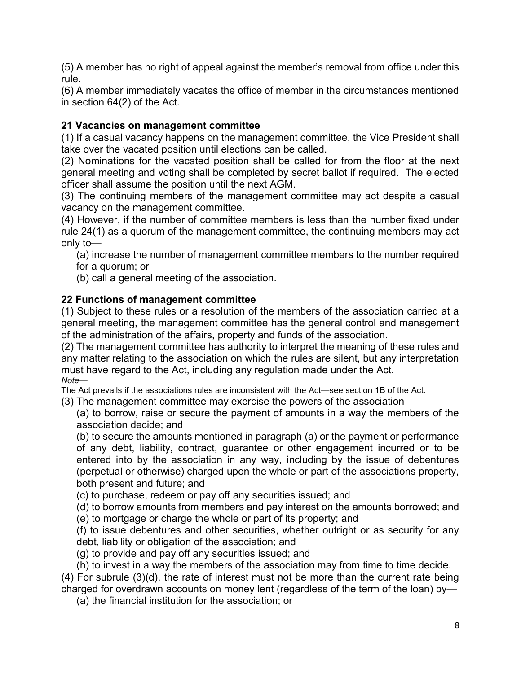(5) A member has no right of appeal against the member's removal from office under this rule.

(6) A member immediately vacates the office of member in the circumstances mentioned in section 64(2) of the Act.

# 21 Vacancies on management committee

(1) If a casual vacancy happens on the management committee, the Vice President shall take over the vacated position until elections can be called.

(2) Nominations for the vacated position shall be called for from the floor at the next general meeting and voting shall be completed by secret ballot if required. The elected officer shall assume the position until the next AGM.

(3) The continuing members of the management committee may act despite a casual vacancy on the management committee.

(4) However, if the number of committee members is less than the number fixed under rule 24(1) as a quorum of the management committee, the continuing members may act only to—

(a) increase the number of management committee members to the number required for a quorum; or

(b) call a general meeting of the association.

# 22 Functions of management committee

(1) Subject to these rules or a resolution of the members of the association carried at a general meeting, the management committee has the general control and management of the administration of the affairs, property and funds of the association.

(2) The management committee has authority to interpret the meaning of these rules and any matter relating to the association on which the rules are silent, but any interpretation must have regard to the Act, including any regulation made under the Act. Note—

The Act prevails if the associations rules are inconsistent with the Act—see section 1B of the Act.

(3) The management committee may exercise the powers of the association—

(a) to borrow, raise or secure the payment of amounts in a way the members of the association decide; and

(b) to secure the amounts mentioned in paragraph (a) or the payment or performance of any debt, liability, contract, guarantee or other engagement incurred or to be entered into by the association in any way, including by the issue of debentures (perpetual or otherwise) charged upon the whole or part of the associations property, both present and future; and

(c) to purchase, redeem or pay off any securities issued; and

(d) to borrow amounts from members and pay interest on the amounts borrowed; and (e) to mortgage or charge the whole or part of its property; and

- (f) to issue debentures and other securities, whether outright or as security for any
- debt, liability or obligation of the association; and
- (g) to provide and pay off any securities issued; and

(h) to invest in a way the members of the association may from time to time decide.

(4) For subrule (3)(d), the rate of interest must not be more than the current rate being charged for overdrawn accounts on money lent (regardless of the term of the loan) by—

(a) the financial institution for the association; or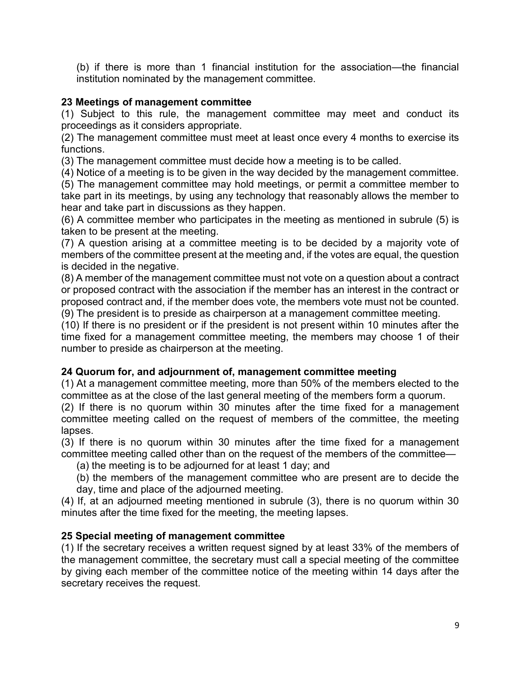(b) if there is more than 1 financial institution for the association—the financial institution nominated by the management committee.

# 23 Meetings of management committee

(1) Subject to this rule, the management committee may meet and conduct its proceedings as it considers appropriate.

(2) The management committee must meet at least once every 4 months to exercise its functions.

(3) The management committee must decide how a meeting is to be called.

(4) Notice of a meeting is to be given in the way decided by the management committee.

(5) The management committee may hold meetings, or permit a committee member to take part in its meetings, by using any technology that reasonably allows the member to hear and take part in discussions as they happen.

(6) A committee member who participates in the meeting as mentioned in subrule (5) is taken to be present at the meeting.

(7) A question arising at a committee meeting is to be decided by a majority vote of members of the committee present at the meeting and, if the votes are equal, the question is decided in the negative.

(8) A member of the management committee must not vote on a question about a contract or proposed contract with the association if the member has an interest in the contract or proposed contract and, if the member does vote, the members vote must not be counted.

(9) The president is to preside as chairperson at a management committee meeting.

(10) If there is no president or if the president is not present within 10 minutes after the time fixed for a management committee meeting, the members may choose 1 of their number to preside as chairperson at the meeting.

# 24 Quorum for, and adjournment of, management committee meeting

(1) At a management committee meeting, more than 50% of the members elected to the committee as at the close of the last general meeting of the members form a quorum.

(2) If there is no quorum within 30 minutes after the time fixed for a management committee meeting called on the request of members of the committee, the meeting lapses.

(3) If there is no quorum within 30 minutes after the time fixed for a management committee meeting called other than on the request of the members of the committee—

(a) the meeting is to be adjourned for at least 1 day; and

(b) the members of the management committee who are present are to decide the day, time and place of the adjourned meeting.

(4) If, at an adjourned meeting mentioned in subrule (3), there is no quorum within 30 minutes after the time fixed for the meeting, the meeting lapses.

# 25 Special meeting of management committee

(1) If the secretary receives a written request signed by at least 33% of the members of the management committee, the secretary must call a special meeting of the committee by giving each member of the committee notice of the meeting within 14 days after the secretary receives the request.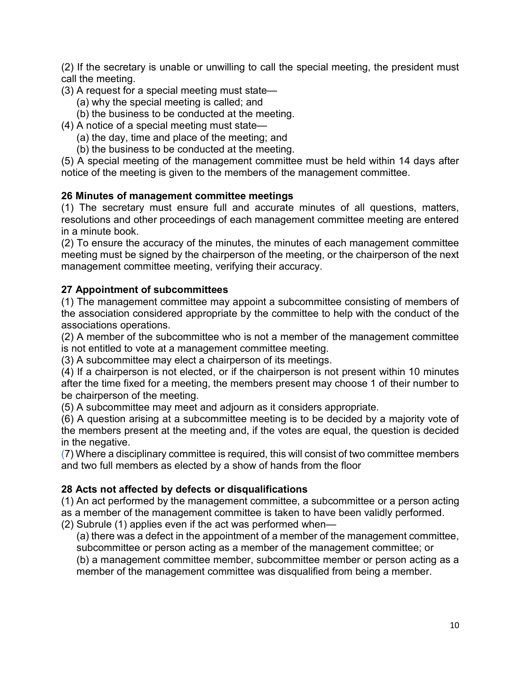(2) If the secretary is unable or unwilling to call the special meeting, the president must call the meeting.

- (3) A request for a special meeting must state—
	- (a) why the special meeting is called; and
	- (b) the business to be conducted at the meeting.
- (4) A notice of a special meeting must state—
	- (a) the day, time and place of the meeting; and
	- (b) the business to be conducted at the meeting.

(5) A special meeting of the management committee must be held within 14 days after notice of the meeting is given to the members of the management committee.

# 26 Minutes of management committee meetings

(1) The secretary must ensure full and accurate minutes of all questions, matters, resolutions and other proceedings of each management committee meeting are entered in a minute book.

(2) To ensure the accuracy of the minutes, the minutes of each management committee meeting must be signed by the chairperson of the meeting, or the chairperson of the next management committee meeting, verifying their accuracy.

# 27 Appointment of subcommittees

(1) The management committee may appoint a subcommittee consisting of members of the association considered appropriate by the committee to help with the conduct of the associations operations.

(2) A member of the subcommittee who is not a member of the management committee is not entitled to vote at a management committee meeting.

(3) A subcommittee may elect a chairperson of its meetings.

(4) If a chairperson is not elected, or if the chairperson is not present within 10 minutes after the time fixed for a meeting, the members present may choose 1 of their number to be chairperson of the meeting.

(5) A subcommittee may meet and adjourn as it considers appropriate.

(6) A question arising at a subcommittee meeting is to be decided by a majority vote of the members present at the meeting and, if the votes are equal, the question is decided in the negative.

(7) Where a disciplinary committee is required, this will consist of two committee members and two full members as elected by a show of hands from the floor

# 28 Acts not affected by defects or disqualifications

(1) An act performed by the management committee, a subcommittee or a person acting as a member of the management committee is taken to have been validly performed.

(2) Subrule (1) applies even if the act was performed when—

(a) there was a defect in the appointment of a member of the management committee, subcommittee or person acting as a member of the management committee; or (b) a management committee member, subcommittee member or person acting as a member of the management committee was disqualified from being a member.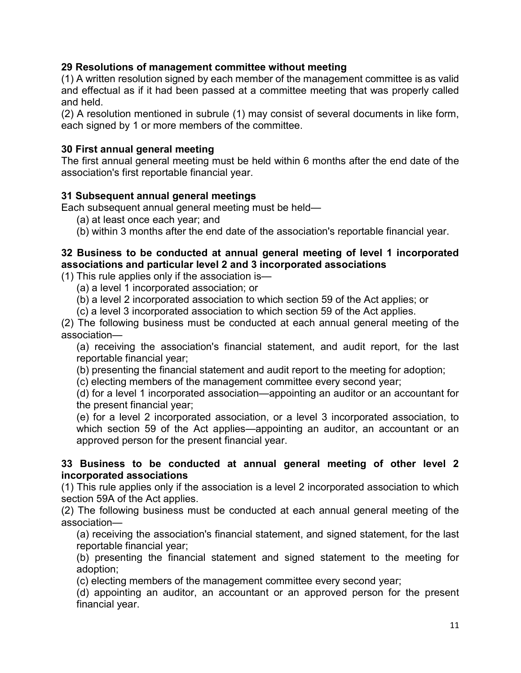### 29 Resolutions of management committee without meeting

(1) A written resolution signed by each member of the management committee is as valid and effectual as if it had been passed at a committee meeting that was properly called and held.

(2) A resolution mentioned in subrule (1) may consist of several documents in like form, each signed by 1 or more members of the committee.

### 30 First annual general meeting

The first annual general meeting must be held within 6 months after the end date of the association's first reportable financial year.

### 31 Subsequent annual general meetings

Each subsequent annual general meeting must be held—

- (a) at least once each year; and
- (b) within 3 months after the end date of the association's reportable financial year.

# 32 Business to be conducted at annual general meeting of level 1 incorporated associations and particular level 2 and 3 incorporated associations

(1) This rule applies only if the association is—

- (a) a level 1 incorporated association; or
- (b) a level 2 incorporated association to which section 59 of the Act applies; or
- (c) a level 3 incorporated association to which section 59 of the Act applies.

(2) The following business must be conducted at each annual general meeting of the association—

(a) receiving the association's financial statement, and audit report, for the last reportable financial year;

(b) presenting the financial statement and audit report to the meeting for adoption;

(c) electing members of the management committee every second year;

(d) for a level 1 incorporated association—appointing an auditor or an accountant for the present financial year;

(e) for a level 2 incorporated association, or a level 3 incorporated association, to which section 59 of the Act applies—appointing an auditor, an accountant or an approved person for the present financial year.

#### 33 Business to be conducted at annual general meeting of other level 2 incorporated associations

(1) This rule applies only if the association is a level 2 incorporated association to which section 59A of the Act applies.

(2) The following business must be conducted at each annual general meeting of the association—

(a) receiving the association's financial statement, and signed statement, for the last reportable financial year;

(b) presenting the financial statement and signed statement to the meeting for adoption;

(c) electing members of the management committee every second year;

(d) appointing an auditor, an accountant or an approved person for the present financial year.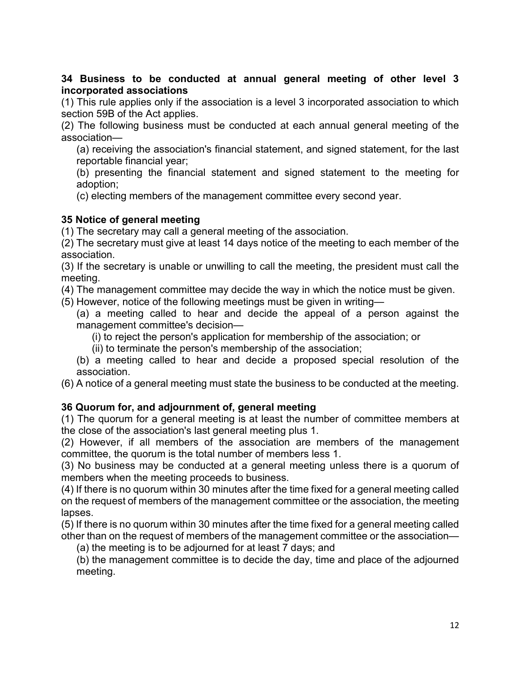34 Business to be conducted at annual general meeting of other level 3 incorporated associations

(1) This rule applies only if the association is a level 3 incorporated association to which section 59B of the Act applies.

(2) The following business must be conducted at each annual general meeting of the association—

(a) receiving the association's financial statement, and signed statement, for the last reportable financial year;

(b) presenting the financial statement and signed statement to the meeting for adoption;

(c) electing members of the management committee every second year.

# 35 Notice of general meeting

(1) The secretary may call a general meeting of the association.

(2) The secretary must give at least 14 days notice of the meeting to each member of the association.

(3) If the secretary is unable or unwilling to call the meeting, the president must call the meeting.

(4) The management committee may decide the way in which the notice must be given.

(5) However, notice of the following meetings must be given in writing—

(a) a meeting called to hear and decide the appeal of a person against the management committee's decision—

(i) to reject the person's application for membership of the association; or

(ii) to terminate the person's membership of the association;

(b) a meeting called to hear and decide a proposed special resolution of the association.

(6) A notice of a general meeting must state the business to be conducted at the meeting.

# 36 Quorum for, and adjournment of, general meeting

(1) The quorum for a general meeting is at least the number of committee members at the close of the association's last general meeting plus 1.

(2) However, if all members of the association are members of the management committee, the quorum is the total number of members less 1.

(3) No business may be conducted at a general meeting unless there is a quorum of members when the meeting proceeds to business.

(4) If there is no quorum within 30 minutes after the time fixed for a general meeting called on the request of members of the management committee or the association, the meeting lapses.

(5) If there is no quorum within 30 minutes after the time fixed for a general meeting called other than on the request of members of the management committee or the association—

(a) the meeting is to be adjourned for at least 7 days; and

(b) the management committee is to decide the day, time and place of the adjourned meeting.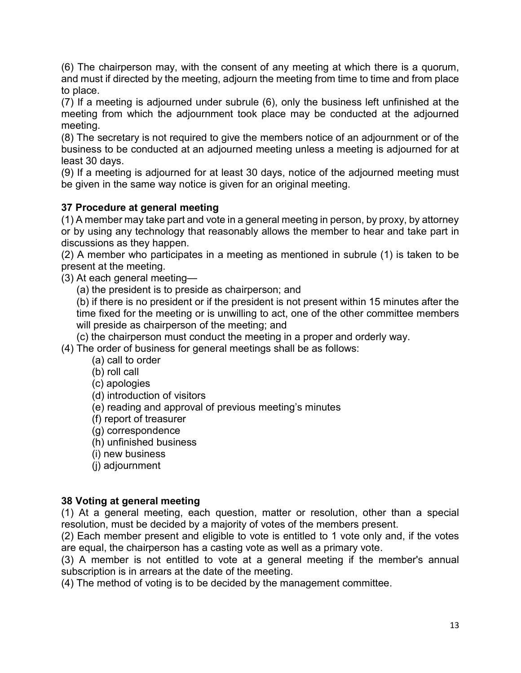(6) The chairperson may, with the consent of any meeting at which there is a quorum, and must if directed by the meeting, adjourn the meeting from time to time and from place to place.

(7) If a meeting is adjourned under subrule (6), only the business left unfinished at the meeting from which the adjournment took place may be conducted at the adjourned meeting.

(8) The secretary is not required to give the members notice of an adjournment or of the business to be conducted at an adjourned meeting unless a meeting is adjourned for at least 30 days.

(9) If a meeting is adjourned for at least 30 days, notice of the adjourned meeting must be given in the same way notice is given for an original meeting.

# 37 Procedure at general meeting

(1) A member may take part and vote in a general meeting in person, by proxy, by attorney or by using any technology that reasonably allows the member to hear and take part in discussions as they happen.

(2) A member who participates in a meeting as mentioned in subrule (1) is taken to be present at the meeting.

(3) At each general meeting—

(a) the president is to preside as chairperson; and

(b) if there is no president or if the president is not present within 15 minutes after the time fixed for the meeting or is unwilling to act, one of the other committee members will preside as chairperson of the meeting; and

(c) the chairperson must conduct the meeting in a proper and orderly way.

(4) The order of business for general meetings shall be as follows:

- (a) call to order
- (b) roll call
- (c) apologies
- (d) introduction of visitors
- (e) reading and approval of previous meeting's minutes
- (f) report of treasurer
- (g) correspondence
- (h) unfinished business
- (i) new business
- (j) adjournment

# 38 Voting at general meeting

(1) At a general meeting, each question, matter or resolution, other than a special resolution, must be decided by a majority of votes of the members present.

(2) Each member present and eligible to vote is entitled to 1 vote only and, if the votes are equal, the chairperson has a casting vote as well as a primary vote.

(3) A member is not entitled to vote at a general meeting if the member's annual subscription is in arrears at the date of the meeting.

(4) The method of voting is to be decided by the management committee.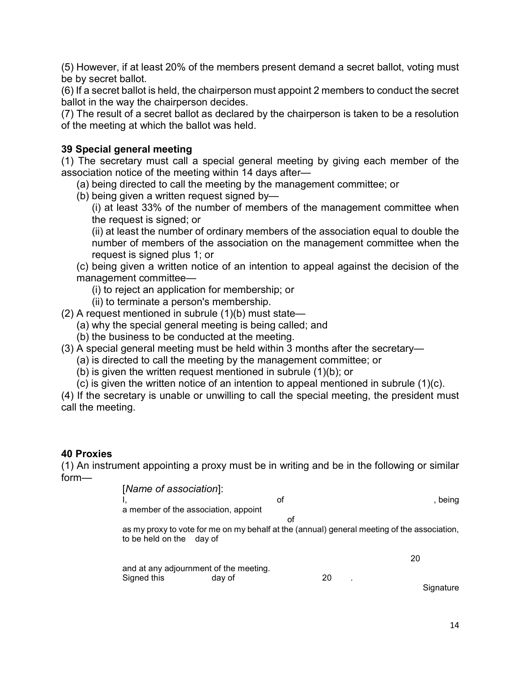(5) However, if at least 20% of the members present demand a secret ballot, voting must be by secret ballot.

(6) If a secret ballot is held, the chairperson must appoint 2 members to conduct the secret ballot in the way the chairperson decides.

(7) The result of a secret ballot as declared by the chairperson is taken to be a resolution of the meeting at which the ballot was held.

### 39 Special general meeting

(1) The secretary must call a special general meeting by giving each member of the association notice of the meeting within 14 days after—

(a) being directed to call the meeting by the management committee; or

(b) being given a written request signed by—

(i) at least 33% of the number of members of the management committee when the request is signed; or

(ii) at least the number of ordinary members of the association equal to double the number of members of the association on the management committee when the request is signed plus 1; or

(c) being given a written notice of an intention to appeal against the decision of the management committee—

(i) to reject an application for membership; or

- (ii) to terminate a person's membership.
- (2) A request mentioned in subrule (1)(b) must state—
	- (a) why the special general meeting is being called; and
	- (b) the business to be conducted at the meeting.
- (3) A special general meeting must be held within 3 months after the secretary—
	- (a) is directed to call the meeting by the management committee; or
	- (b) is given the written request mentioned in subrule (1)(b); or
	- (c) is given the written notice of an intention to appeal mentioned in subrule (1)(c).

(4) If the secretary is unable or unwilling to call the special meeting, the president must call the meeting.

#### 40 Proxies

(1) An instrument appointing a proxy must be in writing and be in the following or similar form—

[Name of association]: I, and the set of the set of the set of the set of the set of the set of the set of the set of the set of the s a member of the association, appoint of the contract of the contract of the contract of the contract of the contract of the contract of the contract of the contract of the contract of the contract of the contract of the contract of the contract of the contrac as my proxy to vote for me on my behalf at the (annual) general meeting of the association, to be held on the day of 20 and at any adjournment of the meeting. Signed this day of 20 . **Signature**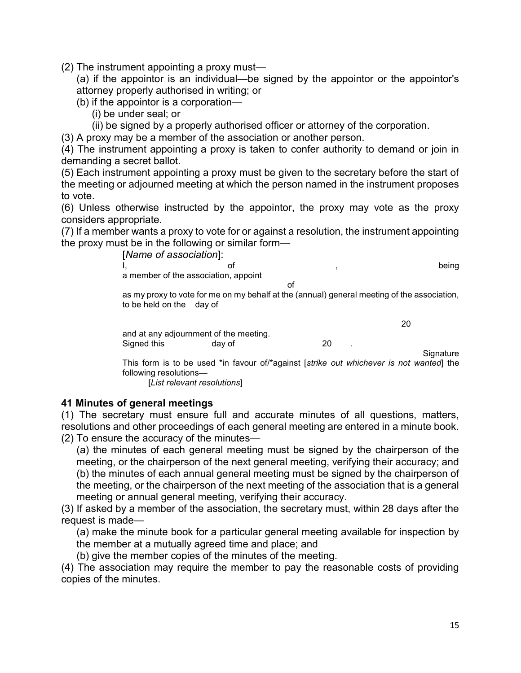(2) The instrument appointing a proxy must—

(a) if the appointor is an individual—be signed by the appointor or the appointor's attorney properly authorised in writing; or

(b) if the appointor is a corporation—

(i) be under seal; or

(ii) be signed by a properly authorised officer or attorney of the corporation.

(3) A proxy may be a member of the association or another person.

(4) The instrument appointing a proxy is taken to confer authority to demand or join in demanding a secret ballot.

(5) Each instrument appointing a proxy must be given to the secretary before the start of the meeting or adjourned meeting at which the person named in the instrument proposes to vote.

(6) Unless otherwise instructed by the appointor, the proxy may vote as the proxy considers appropriate.

(7) If a member wants a proxy to vote for or against a resolution, the instrument appointing the proxy must be in the following or similar form—

> [Name of association]: I, and the of the state of the state of the state of the state of the state of the state of the state of the state of the state of the state of the state of the state of the state of the state of the state of the state of a member of the association, appoint of the contract of the contract of the contract of the contract of the contract of the contract of the contract of the contract of the contract of the contract of the contract of the contract of the contract of the contrac

as my proxy to vote for me on my behalf at the (annual) general meeting of the association, to be held on the day of

|             | and at any adjournment of the meeting. |    |  |
|-------------|----------------------------------------|----|--|
| Signed this | day of                                 | 20 |  |
|             |                                        |    |  |

**Signature** 

This form is to be used \*in favour of/\*against [strike out whichever is not wanted] the following resolutions—

[List relevant resolutions]

#### 41 Minutes of general meetings

(1) The secretary must ensure full and accurate minutes of all questions, matters, resolutions and other proceedings of each general meeting are entered in a minute book. (2) To ensure the accuracy of the minutes—

(a) the minutes of each general meeting must be signed by the chairperson of the meeting, or the chairperson of the next general meeting, verifying their accuracy; and (b) the minutes of each annual general meeting must be signed by the chairperson of the meeting, or the chairperson of the next meeting of the association that is a general meeting or annual general meeting, verifying their accuracy.

(3) If asked by a member of the association, the secretary must, within 28 days after the request is made—

(a) make the minute book for a particular general meeting available for inspection by the member at a mutually agreed time and place; and

(b) give the member copies of the minutes of the meeting.

(4) The association may require the member to pay the reasonable costs of providing copies of the minutes.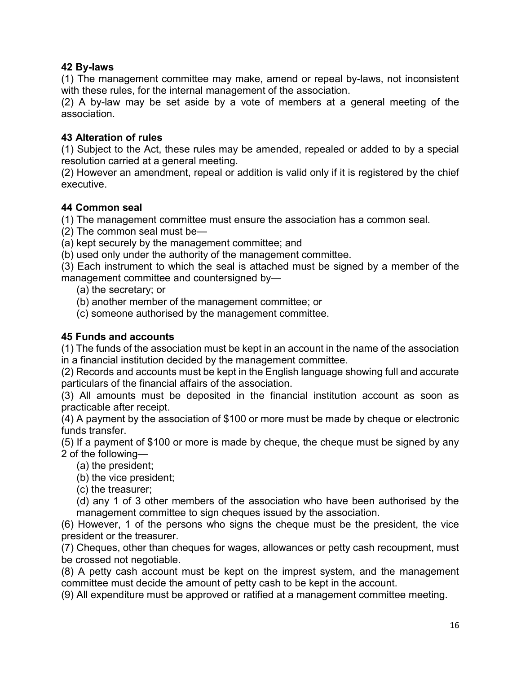# 42 By-laws

(1) The management committee may make, amend or repeal by-laws, not inconsistent with these rules, for the internal management of the association.

(2) A by-law may be set aside by a vote of members at a general meeting of the association.

# 43 Alteration of rules

(1) Subject to the Act, these rules may be amended, repealed or added to by a special resolution carried at a general meeting.

(2) However an amendment, repeal or addition is valid only if it is registered by the chief executive.

# 44 Common seal

(1) The management committee must ensure the association has a common seal.

(2) The common seal must be—

(a) kept securely by the management committee; and

(b) used only under the authority of the management committee.

(3) Each instrument to which the seal is attached must be signed by a member of the management committee and countersigned by—

(a) the secretary; or

(b) another member of the management committee; or

(c) someone authorised by the management committee.

# 45 Funds and accounts

(1) The funds of the association must be kept in an account in the name of the association in a financial institution decided by the management committee.

(2) Records and accounts must be kept in the English language showing full and accurate particulars of the financial affairs of the association.

(3) All amounts must be deposited in the financial institution account as soon as practicable after receipt.

(4) A payment by the association of \$100 or more must be made by cheque or electronic funds transfer.

(5) If a payment of \$100 or more is made by cheque, the cheque must be signed by any 2 of the following—

(a) the president;

(b) the vice president;

(c) the treasurer;

(d) any 1 of 3 other members of the association who have been authorised by the management committee to sign cheques issued by the association.

(6) However, 1 of the persons who signs the cheque must be the president, the vice president or the treasurer.

(7) Cheques, other than cheques for wages, allowances or petty cash recoupment, must be crossed not negotiable.

(8) A petty cash account must be kept on the imprest system, and the management committee must decide the amount of petty cash to be kept in the account.

(9) All expenditure must be approved or ratified at a management committee meeting.